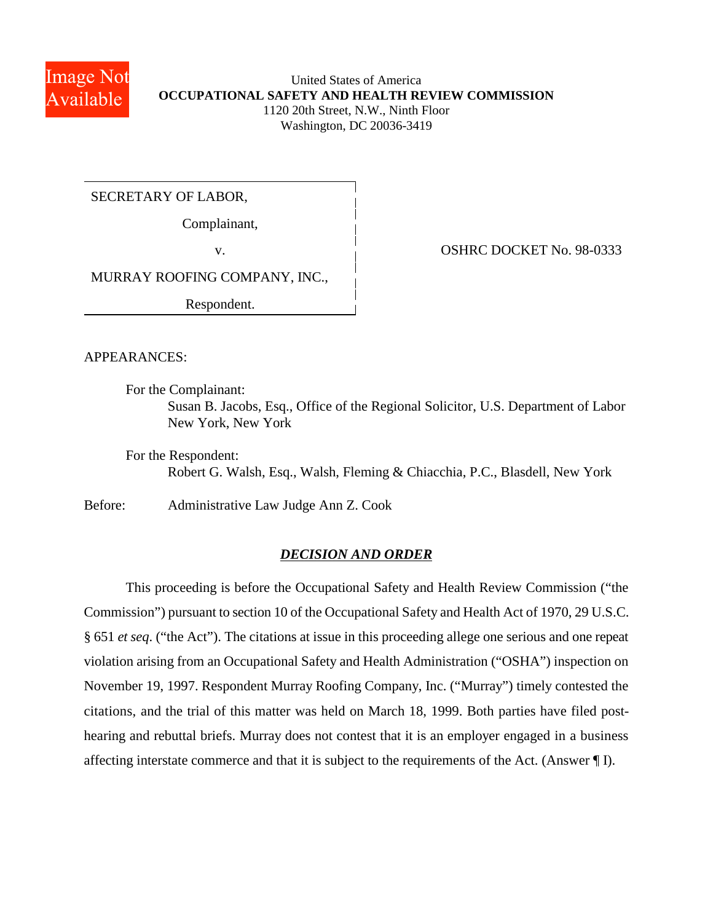

United States of America **OCCUPATIONAL SAFETY AND HEALTH REVIEW COMMISSION** 1120 20th Street, N.W., Ninth Floor Washington, DC 20036-3419

SECRETARY OF LABOR,

Complainant,

v. 0SHRC DOCKET No. 98-0333

MURRAY ROOFING COMPANY, INC.,

Respondent.

APPEARANCES:

For the Complainant:

Susan B. Jacobs, Esq., Office of the Regional Solicitor, U.S. Department of Labor New York, New York

For the Respondent: Robert G. Walsh, Esq., Walsh, Fleming & Chiacchia, P.C., Blasdell, New York

Before: Administrative Law Judge Ann Z. Cook

# *DECISION AND ORDER*

This proceeding is before the Occupational Safety and Health Review Commission ("the Commission") pursuant to section 10 of the Occupational Safety and Health Act of 1970, 29 U.S.C. § 651 *et seq*. ("the Act"). The citations at issue in this proceeding allege one serious and one repeat violation arising from an Occupational Safety and Health Administration ("OSHA") inspection on November 19, 1997. Respondent Murray Roofing Company, Inc. ("Murray") timely contested the citations, and the trial of this matter was held on March 18, 1999. Both parties have filed posthearing and rebuttal briefs. Murray does not contest that it is an employer engaged in a business affecting interstate commerce and that it is subject to the requirements of the Act. (Answer ¶ I).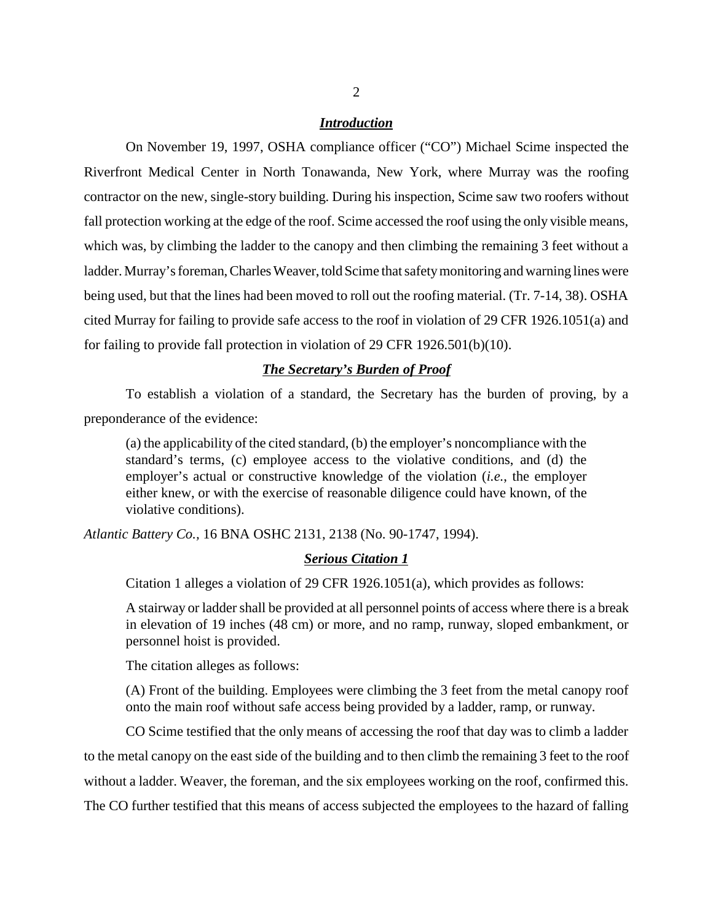## *Introduction*

On November 19, 1997, OSHA compliance officer ("CO") Michael Scime inspected the Riverfront Medical Center in North Tonawanda, New York, where Murray was the roofing contractor on the new, single-story building. During his inspection, Scime saw two roofers without fall protection working at the edge of the roof. Scime accessed the roof using the only visible means, which was, by climbing the ladder to the canopy and then climbing the remaining 3 feet without a ladder. Murray's foreman, Charles Weaver, told Scime that safety monitoring and warning lines were being used, but that the lines had been moved to roll out the roofing material. (Tr. 7-14, 38). OSHA cited Murray for failing to provide safe access to the roof in violation of 29 CFR 1926.1051(a) and for failing to provide fall protection in violation of 29 CFR 1926.501(b)(10).

## *The Secretary's Burden of Proof*

To establish a violation of a standard, the Secretary has the burden of proving, by a preponderance of the evidence:

(a) the applicability of the cited standard, (b) the employer's noncompliance with the standard's terms, (c) employee access to the violative conditions, and (d) the employer's actual or constructive knowledge of the violation (*i.e.*, the employer either knew, or with the exercise of reasonable diligence could have known, of the violative conditions).

*Atlantic Battery Co.,* 16 BNA OSHC 2131, 2138 (No. 90-1747, 1994).

## *Serious Citation 1*

Citation 1 alleges a violation of 29 CFR 1926.1051(a), which provides as follows:

A stairway or ladder shall be provided at all personnel points of access where there is a break in elevation of 19 inches (48 cm) or more, and no ramp, runway, sloped embankment, or personnel hoist is provided.

The citation alleges as follows:

(A) Front of the building. Employees were climbing the 3 feet from the metal canopy roof onto the main roof without safe access being provided by a ladder, ramp, or runway.

CO Scime testified that the only means of accessing the roof that day was to climb a ladder to the metal canopy on the east side of the building and to then climb the remaining 3 feet to the roof without a ladder. Weaver, the foreman, and the six employees working on the roof, confirmed this. The CO further testified that this means of access subjected the employees to the hazard of falling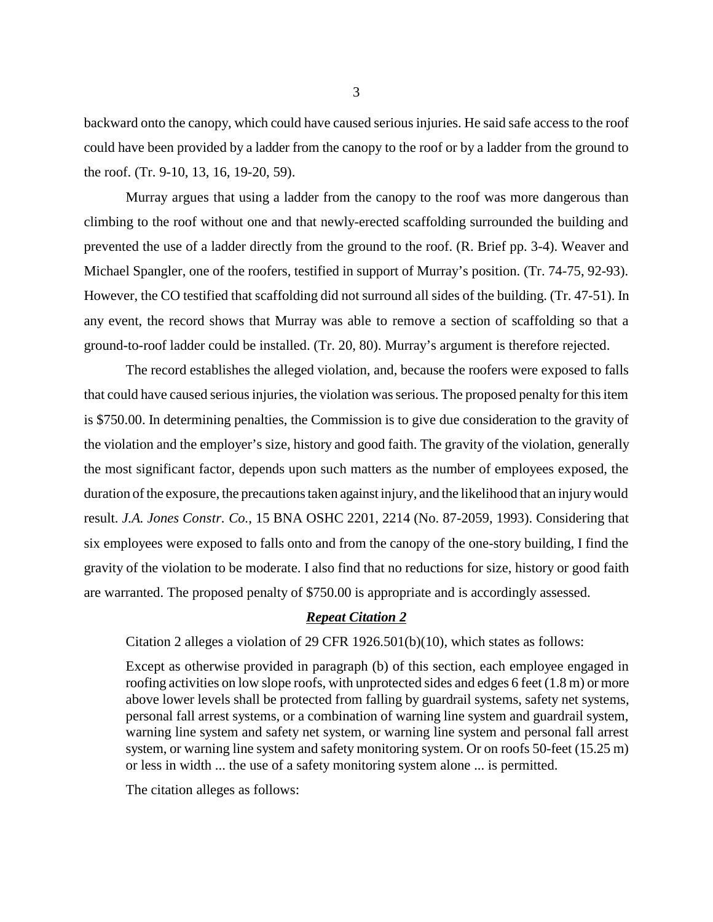backward onto the canopy, which could have caused serious injuries. He said safe access to the roof could have been provided by a ladder from the canopy to the roof or by a ladder from the ground to the roof. (Tr. 9-10, 13, 16, 19-20, 59).

Murray argues that using a ladder from the canopy to the roof was more dangerous than climbing to the roof without one and that newly-erected scaffolding surrounded the building and prevented the use of a ladder directly from the ground to the roof. (R. Brief pp. 3-4). Weaver and Michael Spangler, one of the roofers, testified in support of Murray's position. (Tr. 74-75, 92-93). However, the CO testified that scaffolding did not surround all sides of the building. (Tr. 47-51). In any event, the record shows that Murray was able to remove a section of scaffolding so that a ground-to-roof ladder could be installed. (Tr. 20, 80). Murray's argument is therefore rejected.

The record establishes the alleged violation, and, because the roofers were exposed to falls that could have caused serious injuries, the violation was serious. The proposed penalty for this item is \$750.00. In determining penalties, the Commission is to give due consideration to the gravity of the violation and the employer's size, history and good faith. The gravity of the violation, generally the most significant factor, depends upon such matters as the number of employees exposed, the duration of the exposure, the precautions taken against injury, and the likelihood that an injury would result. *J.A. Jones Constr. Co.*, 15 BNA OSHC 2201, 2214 (No. 87-2059, 1993). Considering that six employees were exposed to falls onto and from the canopy of the one-story building, I find the gravity of the violation to be moderate. I also find that no reductions for size, history or good faith are warranted. The proposed penalty of \$750.00 is appropriate and is accordingly assessed.

#### *Repeat Citation 2*

Citation 2 alleges a violation of 29 CFR 1926.501(b)(10), which states as follows:

Except as otherwise provided in paragraph (b) of this section, each employee engaged in roofing activities on low slope roofs, with unprotected sides and edges 6 feet (1.8 m) or more above lower levels shall be protected from falling by guardrail systems, safety net systems, personal fall arrest systems, or a combination of warning line system and guardrail system, warning line system and safety net system, or warning line system and personal fall arrest system, or warning line system and safety monitoring system. Or on roofs 50-feet (15.25 m) or less in width ... the use of a safety monitoring system alone ... is permitted.

The citation alleges as follows: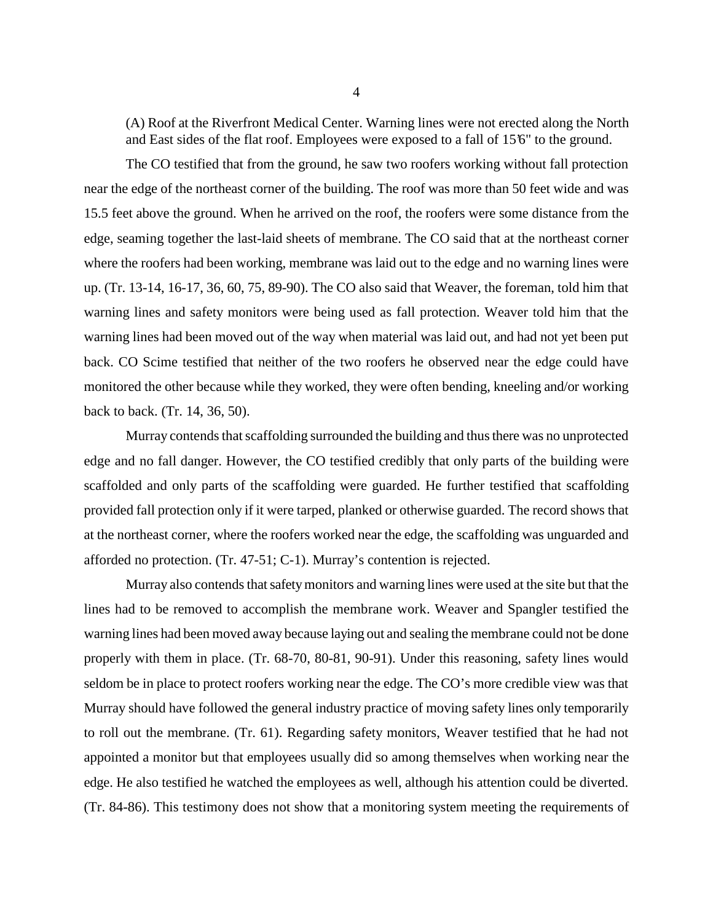(A) Roof at the Riverfront Medical Center. Warning lines were not erected along the North and East sides of the flat roof. Employees were exposed to a fall of 15'6" to the ground.

The CO testified that from the ground, he saw two roofers working without fall protection near the edge of the northeast corner of the building. The roof was more than 50 feet wide and was 15.5 feet above the ground. When he arrived on the roof, the roofers were some distance from the edge, seaming together the last-laid sheets of membrane. The CO said that at the northeast corner where the roofers had been working, membrane was laid out to the edge and no warning lines were up. (Tr. 13-14, 16-17, 36, 60, 75, 89-90). The CO also said that Weaver, the foreman, told him that warning lines and safety monitors were being used as fall protection. Weaver told him that the warning lines had been moved out of the way when material was laid out, and had not yet been put back. CO Scime testified that neither of the two roofers he observed near the edge could have monitored the other because while they worked, they were often bending, kneeling and/or working back to back. (Tr. 14, 36, 50).

Murray contends that scaffolding surrounded the building and thus there was no unprotected edge and no fall danger. However, the CO testified credibly that only parts of the building were scaffolded and only parts of the scaffolding were guarded. He further testified that scaffolding provided fall protection only if it were tarped, planked or otherwise guarded. The record shows that at the northeast corner, where the roofers worked near the edge, the scaffolding was unguarded and afforded no protection. (Tr. 47-51; C-1). Murray's contention is rejected.

Murray also contends that safety monitors and warning lines were used at the site but that the lines had to be removed to accomplish the membrane work. Weaver and Spangler testified the warning lines had been moved away because laying out and sealing the membrane could not be done properly with them in place. (Tr. 68-70, 80-81, 90-91). Under this reasoning, safety lines would seldom be in place to protect roofers working near the edge. The CO's more credible view was that Murray should have followed the general industry practice of moving safety lines only temporarily to roll out the membrane. (Tr. 61). Regarding safety monitors, Weaver testified that he had not appointed a monitor but that employees usually did so among themselves when working near the edge. He also testified he watched the employees as well, although his attention could be diverted. (Tr. 84-86). This testimony does not show that a monitoring system meeting the requirements of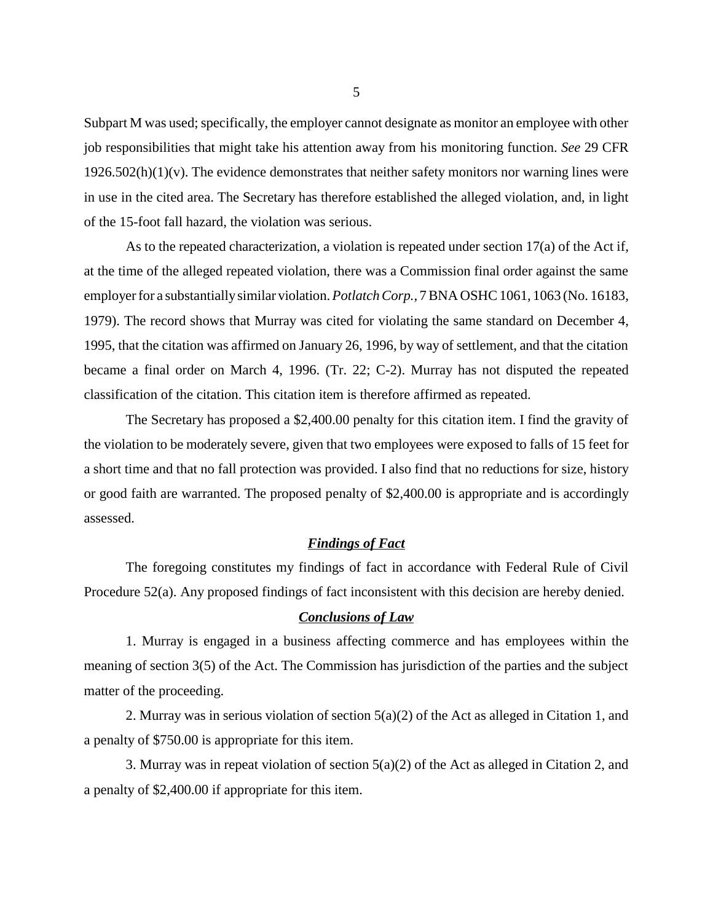Subpart M was used; specifically, the employer cannot designate as monitor an employee with other job responsibilities that might take his attention away from his monitoring function. *See* 29 CFR  $1926.502(h)(1)(v)$ . The evidence demonstrates that neither safety monitors nor warning lines were in use in the cited area. The Secretary has therefore established the alleged violation, and, in light of the 15-foot fall hazard, the violation was serious.

As to the repeated characterization, a violation is repeated under section 17(a) of the Act if, at the time of the alleged repeated violation, there was a Commission final order against the same employer for a substantially similar violation. *Potlatch Corp.,* 7 BNA OSHC 1061, 1063 (No. 16183, 1979). The record shows that Murray was cited for violating the same standard on December 4, 1995, that the citation was affirmed on January 26, 1996, by way of settlement, and that the citation became a final order on March 4, 1996. (Tr. 22; C-2). Murray has not disputed the repeated classification of the citation. This citation item is therefore affirmed as repeated.

The Secretary has proposed a \$2,400.00 penalty for this citation item. I find the gravity of the violation to be moderately severe, given that two employees were exposed to falls of 15 feet for a short time and that no fall protection was provided. I also find that no reductions for size, history or good faith are warranted. The proposed penalty of \$2,400.00 is appropriate and is accordingly assessed.

# *Findings of Fact*

The foregoing constitutes my findings of fact in accordance with Federal Rule of Civil Procedure 52(a). Any proposed findings of fact inconsistent with this decision are hereby denied.

# *Conclusions of Law*

1. Murray is engaged in a business affecting commerce and has employees within the meaning of section 3(5) of the Act. The Commission has jurisdiction of the parties and the subject matter of the proceeding.

2. Murray was in serious violation of section  $5(a)(2)$  of the Act as alleged in Citation 1, and a penalty of \$750.00 is appropriate for this item.

3. Murray was in repeat violation of section 5(a)(2) of the Act as alleged in Citation 2, and a penalty of \$2,400.00 if appropriate for this item.